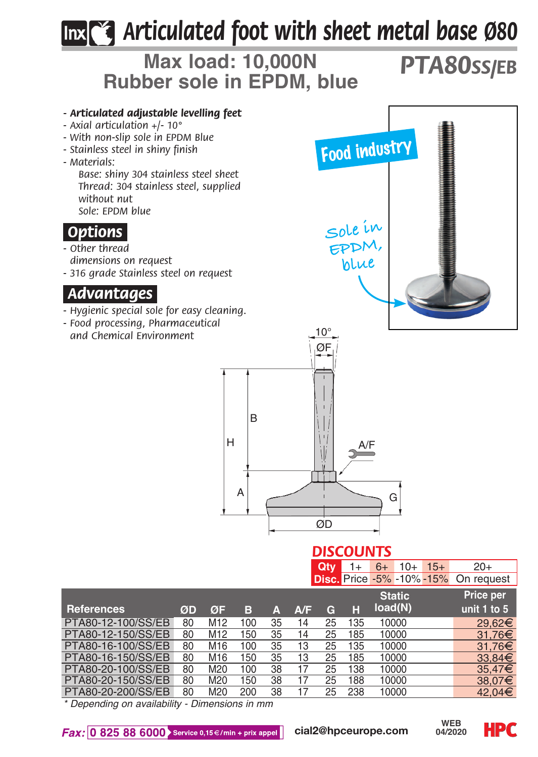## *Articulated foot with sheet metal base Ø80*



PTA80-20-200/SS/EB 80 M20 200 38 17 25 238 10000 42,04

*\* Depending on availability - Dimensions in mm*



**HPC**